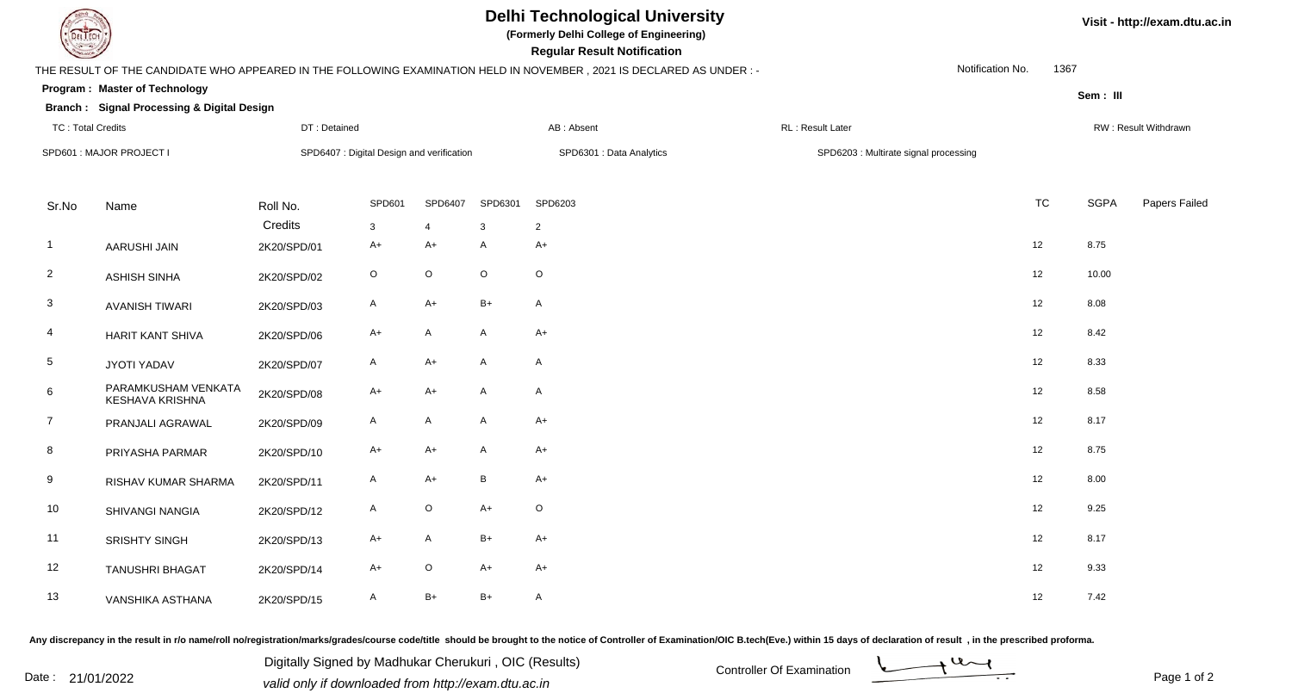## **Delhi Technological University**

**(Formerly Delhi College of Engineering)**

 **Regular Result Notification**

**Visit - http://exam.dtu.ac.in**

| <b>Courses I</b>         |                                                       |                                           |             |                |              | <b>Regular Result Notification</b>                                                                                   |                                       |                  |           |             |                      |  |  |
|--------------------------|-------------------------------------------------------|-------------------------------------------|-------------|----------------|--------------|----------------------------------------------------------------------------------------------------------------------|---------------------------------------|------------------|-----------|-------------|----------------------|--|--|
|                          |                                                       |                                           |             |                |              | THE RESULT OF THE CANDIDATE WHO APPEARED IN THE FOLLOWING EXAMINATION HELD IN NOVEMBER, 2021 IS DECLARED AS UNDER :- |                                       | Notification No. | 1367      |             |                      |  |  |
|                          | <b>Program: Master of Technology</b>                  |                                           |             |                |              |                                                                                                                      |                                       |                  |           | Sem: III    |                      |  |  |
|                          | <b>Branch: Signal Processing &amp; Digital Design</b> |                                           |             |                |              |                                                                                                                      |                                       |                  |           |             |                      |  |  |
|                          | <b>TC: Total Credits</b><br>DT: Detained              |                                           |             |                |              | AB: Absent                                                                                                           | RL: Result Later                      |                  |           |             | RW: Result Withdrawn |  |  |
| SPD601 : MAJOR PROJECT I |                                                       | SPD6407 : Digital Design and verification |             |                |              | SPD6301 : Data Analytics                                                                                             | SPD6203 : Multirate signal processing |                  |           |             |                      |  |  |
| Sr.No                    | Name                                                  | Roll No.                                  | SPD601      | SPD6407        | SPD6301      | SPD6203                                                                                                              |                                       |                  | <b>TC</b> | <b>SGPA</b> | Papers Failed        |  |  |
|                          |                                                       | Credits                                   | 3           | $\overline{4}$ | $\mathbf{3}$ | $\overline{2}$                                                                                                       |                                       |                  |           |             |                      |  |  |
| $\overline{1}$           | AARUSHI JAIN                                          | 2K20/SPD/01                               | A+          | A+             | A            | A+                                                                                                                   |                                       |                  | 12        | 8.75        |                      |  |  |
| $\overline{2}$           | <b>ASHISH SINHA</b>                                   | 2K20/SPD/02                               | $\mathsf O$ | $\mathsf O$    | $\mathsf O$  | $\mathsf O$                                                                                                          |                                       |                  | 12        | 10.00       |                      |  |  |
| 3                        | <b>AVANISH TIWARI</b>                                 | 2K20/SPD/03                               | A           | $A+$           | $B+$         | $\mathsf{A}$                                                                                                         |                                       |                  | 12        | 8.08        |                      |  |  |
| 4                        | HARIT KANT SHIVA                                      | 2K20/SPD/06                               | $A+$        | A              | A            | A+                                                                                                                   |                                       |                  | 12        | 8.42        |                      |  |  |
| $\overline{5}$           | <b>JYOTI YADAV</b>                                    | 2K20/SPD/07                               | A           | A+             | A            | A                                                                                                                    |                                       |                  | 12        | 8.33        |                      |  |  |
| 6                        | PARAMKUSHAM VENKATA<br>KESHAVA KRISHNA                | 2K20/SPD/08                               | A+          | $A+$           | A            | A                                                                                                                    |                                       |                  | 12        | 8.58        |                      |  |  |
| $\overline{7}$           | PRANJALI AGRAWAL                                      | 2K20/SPD/09                               | A           | A              | $\mathsf{A}$ | A+                                                                                                                   |                                       |                  | 12        | 8.17        |                      |  |  |
| 8                        | PRIYASHA PARMAR                                       | 2K20/SPD/10                               | A+          | A+             | A            | A+                                                                                                                   |                                       |                  | 12        | 8.75        |                      |  |  |
| 9                        | RISHAV KUMAR SHARMA                                   | 2K20/SPD/11                               | A           | A+             | B            | A+                                                                                                                   |                                       |                  | 12        | 8.00        |                      |  |  |
| 10                       | SHIVANGI NANGIA                                       | 2K20/SPD/12                               | A           | $\mathsf O$    | $A+$         | O                                                                                                                    |                                       |                  | 12        | 9.25        |                      |  |  |
| 11                       | SRISHTY SINGH                                         | 2K20/SPD/13                               | A+          | A              | $B+$         | $A+$                                                                                                                 |                                       |                  | 12        | 8.17        |                      |  |  |
| 12                       | <b>TANUSHRI BHAGAT</b>                                | 2K20/SPD/14                               | A+          | $\mathsf O$    | $A+$         | $A+$                                                                                                                 |                                       |                  | 12        | 9.33        |                      |  |  |
| 13                       | VANSHIKA ASTHANA                                      | 2K20/SPD/15                               | A           | $B+$           | $B+$         | $\mathsf{A}$                                                                                                         |                                       |                  | 12        | 7.42        |                      |  |  |

Any discrepancy in the result in r/o name/roll no/registration/marks/grades/course code/title should be brought to the notice of Controller of Examination/OIC B.tech(Eve.) within 15 days of declaration of result, in the pr

Date : 21/01/2022 Valid only if downloaded from http://exam.dtu.ac.in<br>
Date : 21/01/2022 valid only if downloaded from http://exam.dtu.ac.in Digitally Signed by Madhukar Cherukuri , OIC (Results)